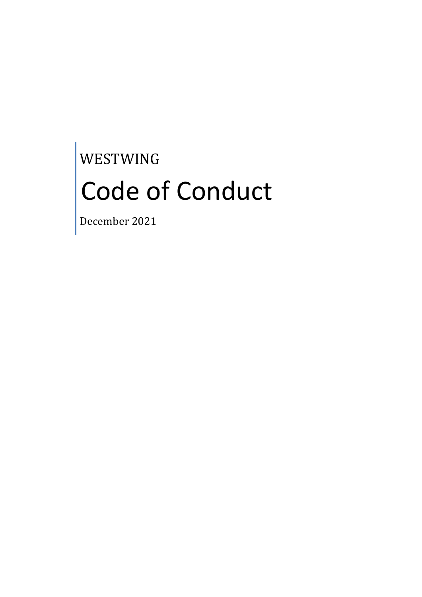# WESTWING Code of Conduct

December 2021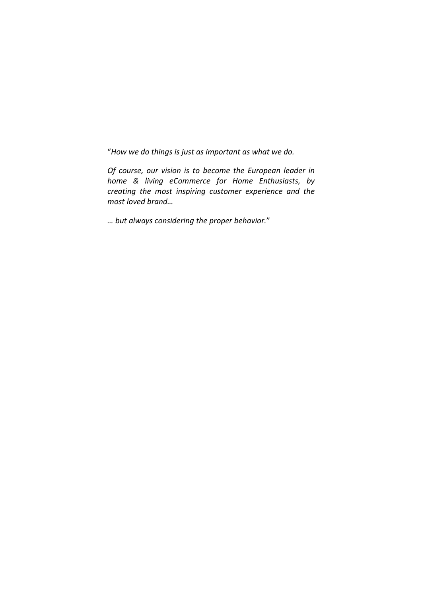"*How we do things is just as important as what we do.*

*Of course, our vision is to become the European leader in home & living eCommerce for Home Enthusiasts, by creating the most inspiring customer experience and the most loved brand…*

*… but always considering the proper behavior.*"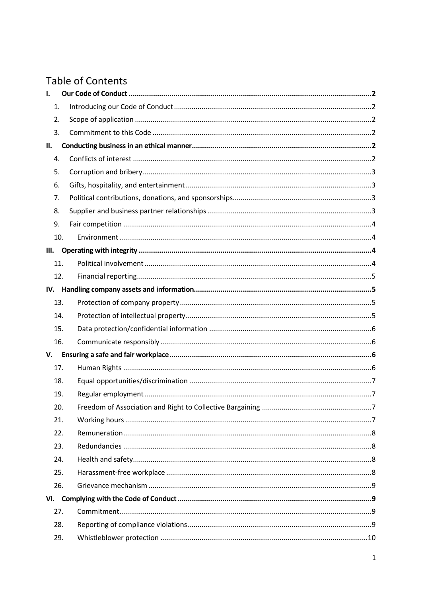# **Table of Contents**

| I.   |     |  |
|------|-----|--|
| 1.   |     |  |
| 2.   |     |  |
| 3.   |     |  |
| П.   |     |  |
| 4.   |     |  |
| 5.   |     |  |
| 6.   |     |  |
| 7.   |     |  |
| 8.   |     |  |
| 9.   |     |  |
|      | 10. |  |
| III. |     |  |
|      | 11. |  |
|      | 12. |  |
|      |     |  |
|      | 13. |  |
|      | 14. |  |
|      | 15. |  |
|      | 16. |  |
| V.   |     |  |
|      | 17. |  |
|      | 18. |  |
|      | 19. |  |
|      | 20. |  |
|      | 21. |  |
|      | 22. |  |
|      | 23. |  |
|      | 24. |  |
|      | 25. |  |
|      | 26. |  |
|      |     |  |
|      | 27. |  |
|      | 28. |  |
|      | 29. |  |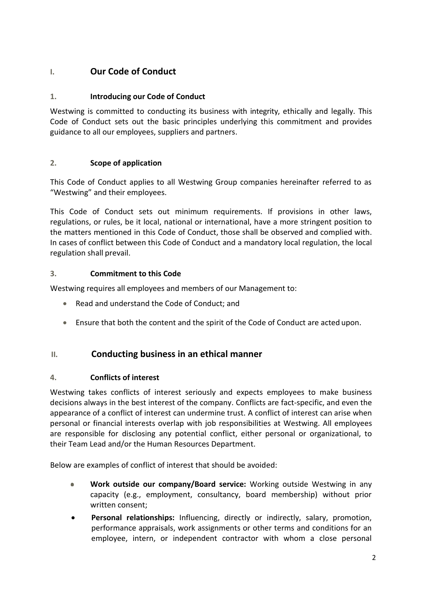# <span id="page-3-0"></span>**I. Our Code of Conduct**

#### <span id="page-3-1"></span>**1. Introducing our Code of Conduct**

Westwing is committed to conducting its business with integrity, ethically and legally. This Code of Conduct sets out the basic principles underlying this commitment and provides guidance to all our employees, suppliers and partners.

#### <span id="page-3-2"></span>**2. Scope of application**

This Code of Conduct applies to all Westwing Group companies hereinafter referred to as "Westwing" and their employees.

This Code of Conduct sets out minimum requirements. If provisions in other laws, regulations, or rules, be it local, national or international, have a more stringent position to the matters mentioned in this Code of Conduct, those shall be observed and complied with. In cases of conflict between this Code of Conduct and a mandatory local regulation, the local regulation shall prevail.

#### <span id="page-3-3"></span>**3. Commitment to this Code**

Westwing requires all employees and members of our Management to:

- Read and understand the Code of Conduct; and
- Ensure that both the content and the spirit of the Code of Conduct are acted upon.

#### <span id="page-3-4"></span>**II. Conducting business in an ethical manner**

#### <span id="page-3-5"></span>**4. Conflicts of interest**

Westwing takes conflicts of interest seriously and expects employees to make business decisions always in the best interest of the company. Conflicts are fact-specific, and even the appearance of a conflict of interest can undermine trust. A conflict of interest can arise when personal or financial interests overlap with job responsibilities at Westwing. All employees are responsible for disclosing any potential conflict, either personal or organizational, to their Team Lead and/or the Human Resources Department.

Below are examples of conflict of interest that should be avoided:

- **Work outside our company/Board service:** Working outside Westwing in any  $\bullet$ capacity (e.g., employment, consultancy, board membership) without prior written consent;
- **Personal relationships:** Influencing, directly or indirectly, salary, promotion, performance appraisals, work assignments or other terms and conditions for an employee, intern, or independent contractor with whom a close personal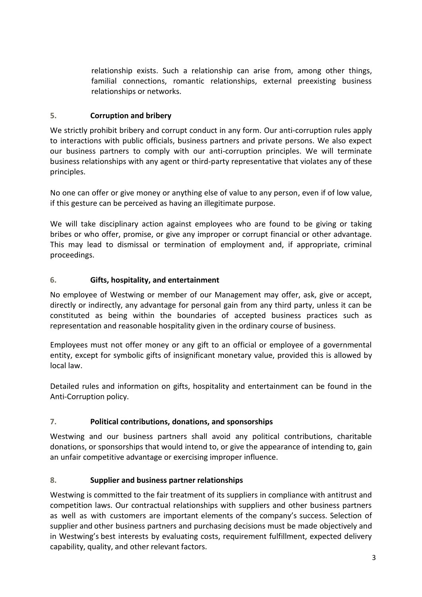relationship exists. Such a relationship can arise from, among other things, familial connections, romantic relationships, external preexisting business relationships or networks.

#### <span id="page-4-0"></span>**5. Corruption and bribery**

We strictly prohibit bribery and corrupt conduct in any form. Our anti-corruption rules apply to interactions with public officials, business partners and private persons. We also expect our business partners to comply with our anti-corruption principles. We will terminate business relationships with any agent or third-party representative that violates any of these principles.

No one can offer or give money or anything else of value to any person, even if of low value, if this gesture can be perceived as having an illegitimate purpose.

We will take disciplinary action against employees who are found to be giving or taking bribes or who offer, promise, or give any improper or corrupt financial or other advantage. This may lead to dismissal or termination of employment and, if appropriate, criminal proceedings.

#### <span id="page-4-1"></span>**6. Gifts, hospitality, and entertainment**

No employee of Westwing or member of our Management may offer, ask, give or accept, directly or indirectly, any advantage for personal gain from any third party, unless it can be constituted as being within the boundaries of accepted business practices such as representation and reasonable hospitality given in the ordinary course of business.

Employees must not offer money or any gift to an official or employee of a governmental entity, except for symbolic gifts of insignificant monetary value, provided this is allowed by local law.

Detailed rules and information on gifts, hospitality and entertainment can be found in the Anti-Corruption policy.

#### <span id="page-4-2"></span>**7. Political contributions, donations, and sponsorships**

Westwing and our business partners shall avoid any political contributions, charitable donations, or sponsorships that would intend to, or give the appearance of intending to, gain an unfair competitive advantage or exercising improper influence.

#### <span id="page-4-3"></span>**8. Supplier and business partner relationships**

Westwing is committed to the fair treatment of its suppliers in compliance with antitrust and competition laws. Our contractual relationships with suppliers and other business partners as well as with customers are important elements of the company's success. Selection of supplier and other business partners and purchasing decisions must be made objectively and in Westwing's best interests by evaluating costs, requirement fulfillment, expected delivery capability, quality, and other relevant factors.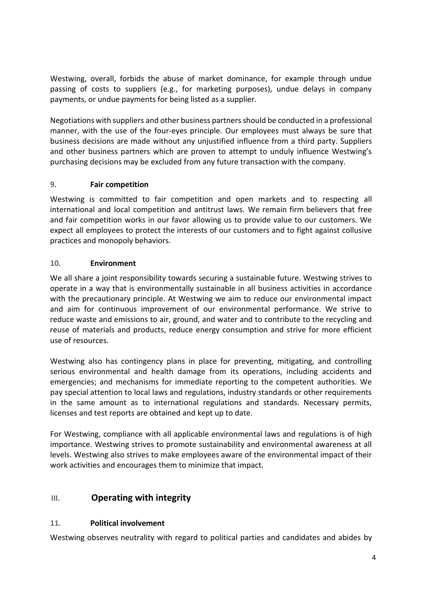Westwing, overall, forbids the abuse of market dominance, for example through undue passing of costs to suppliers (e.g., for marketing purposes), undue delays in company payments, or undue payments for being listed as a supplier.

Negotiations with suppliers and other business partnersshould be conducted in a professional manner, with the use of the four-eyes principle. Our employees must always be sure that business decisions are made without any unjustified influence from a third party. Suppliers and other business partners which are proven to attempt to unduly influence Westwing's purchasing decisions may be excluded from any future transaction with the company.

#### <span id="page-5-0"></span>**9. Fair competition**

Westwing is committed to fair competition and open markets and to respecting all international and local competition and antitrust laws. We remain firm believers that free and fair competition works in our favor allowing us to provide value to our customers. We expect all employees to protect the interests of our customers and to fight against collusive practices and monopoly behaviors.

#### <span id="page-5-1"></span>**10. Environment**

We all share a joint responsibility towards securing a sustainable future. Westwing strives to operate in a way that is environmentally sustainable in all business activities in accordance with the precautionary principle. At Westwing we aim to reduce our environmental impact and aim for continuous improvement of our environmental performance. We strive to reduce waste and emissions to air, ground, and water and to contribute to the recycling and reuse of materials and products, reduce energy consumption and strive for more efficient use of resources.

Westwing also has contingency plans in place for preventing, mitigating, and controlling serious environmental and health damage from its operations, including accidents and emergencies; and mechanisms for immediate reporting to the competent authorities. We pay special attention to local laws and regulations, industry standards or other requirements in the same amount as to international regulations and standards. Necessary permits, licenses and test reports are obtained and kept up to date.

For Westwing, compliance with all applicable environmental laws and regulations is of high importance. Westwing strives to promote sustainability and environmental awareness at all levels. Westwing also strives to make employees aware of the environmental impact of their work activities and encourages them to minimize that impact.

# <span id="page-5-2"></span>**III. Operating with integrity**

#### <span id="page-5-3"></span>**11. Political involvement**

Westwing observes neutrality with regard to political parties and candidates and abides by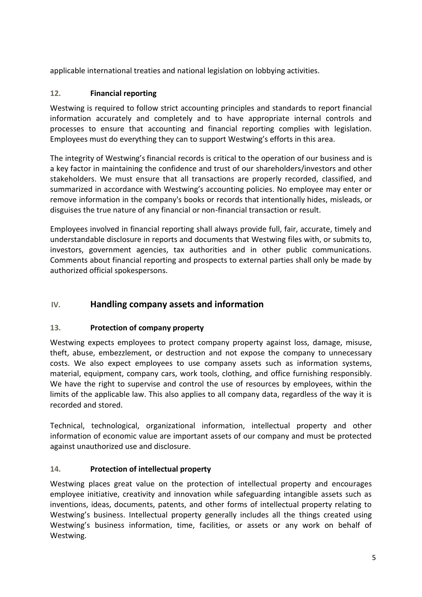applicable international treaties and national legislation on lobbying activities.

### <span id="page-6-0"></span>**12. Financial reporting**

Westwing is required to follow strict accounting principles and standards to report financial information accurately and completely and to have appropriate internal controls and processes to ensure that accounting and financial reporting complies with legislation. Employees must do everything they can to support Westwing's efforts in this area.

The integrity of Westwing's financial records is critical to the operation of our business and is a key factor in maintaining the confidence and trust of our shareholders/investors and other stakeholders. We must ensure that all transactions are properly recorded, classified, and summarized in accordance with Westwing's accounting policies. No employee may enter or remove information in the company's books or records that intentionally hides, misleads, or disguises the true nature of any financial or non-financial transaction or result.

Employees involved in financial reporting shall always provide full, fair, accurate, timely and understandable disclosure in reports and documents that Westwing files with, or submits to, investors, government agencies, tax authorities and in other public communications. Comments about financial reporting and prospects to external parties shall only be made by authorized official spokespersons.

# <span id="page-6-1"></span>**IV. Handling company assets and information**

#### <span id="page-6-2"></span>**13. Protection of company property**

Westwing expects employees to protect company property against loss, damage, misuse, theft, abuse, embezzlement, or destruction and not expose the company to unnecessary costs. We also expect employees to use company assets such as information systems, material, equipment, company cars, work tools, clothing, and office furnishing responsibly. We have the right to supervise and control the use of resources by employees, within the limits of the applicable law. This also applies to all company data, regardless of the way it is recorded and stored.

Technical, technological, organizational information, intellectual property and other information of economic value are important assets of our company and must be protected against unauthorized use and disclosure.

#### <span id="page-6-3"></span>**14. Protection of intellectual property**

Westwing places great value on the protection of intellectual property and encourages employee initiative, creativity and innovation while safeguarding intangible assets such as inventions, ideas, documents, patents, and other forms of intellectual property relating to Westwing's business. Intellectual property generally includes all the things created using Westwing's business information, time, facilities, or assets or any work on behalf of Westwing.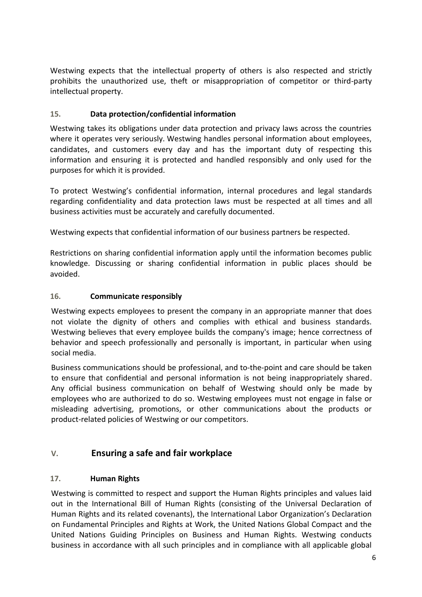Westwing expects that the intellectual property of others is also respected and strictly prohibits the unauthorized use, theft or misappropriation of competitor or third-party intellectual property.

#### <span id="page-7-0"></span>**15. Data protection/confidential information**

Westwing takes its obligations under data protection and privacy laws across the countries where it operates very seriously. Westwing handles personal information about employees, candidates, and customers every day and has the important duty of respecting this information and ensuring it is protected and handled responsibly and only used for the purposes for which it is provided.

To protect Westwing's confidential information, internal procedures and legal standards regarding confidentiality and data protection laws must be respected at all times and all business activities must be accurately and carefully documented.

Westwing expects that confidential information of our business partners be respected.

Restrictions on sharing confidential information apply until the information becomes public knowledge. Discussing or sharing confidential information in public places should be avoided.

#### <span id="page-7-1"></span>**16. Communicate responsibly**

Westwing expects employees to present the company in an appropriate manner that does not violate the dignity of others and complies with ethical and business standards. Westwing believes that every employee builds the company's image; hence correctness of behavior and speech professionally and personally is important, in particular when using social media.

Business communications should be professional, and to-the-point and care should be taken to ensure that confidential and personal information is not being inappropriately shared. Any official business communication on behalf of Westwing should only be made by employees who are authorized to do so. Westwing employees must not engage in false or misleading advertising, promotions, or other communications about the products or product-related policies of Westwing or our competitors.

# <span id="page-7-2"></span>**V. Ensuring a safe and fair workplace**

#### <span id="page-7-3"></span>**17. Human Rights**

Westwing is committed to respect and support the Human Rights principles and values laid out in the International Bill of Human Rights (consisting of the Universal Declaration of Human Rights and its related covenants), the International Labor Organization's Declaration on Fundamental Principles and Rights at Work, the United Nations Global Compact and the United Nations Guiding Principles on Business and Human Rights. Westwing conducts business in accordance with all such principles and in compliance with all applicable global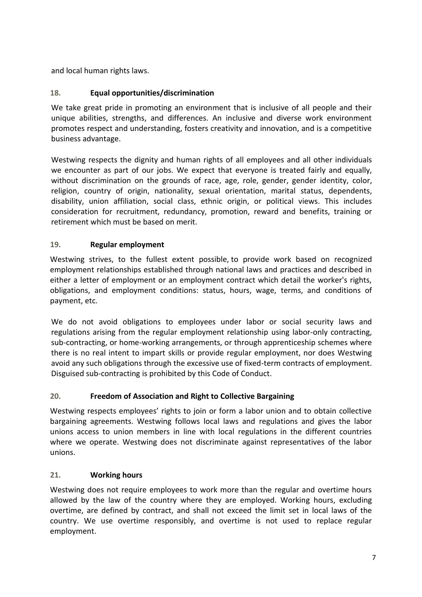and local human rights laws.

#### <span id="page-8-0"></span>**18. Equal opportunities/discrimination**

We take great pride in promoting an environment that is inclusive of all people and their unique abilities, strengths, and differences. An inclusive and diverse work environment promotes respect and understanding, fosters creativity and innovation, and is a competitive business advantage.

Westwing respects the dignity and human rights of all employees and all other individuals we encounter as part of our jobs. We expect that everyone is treated fairly and equally, without discrimination on the grounds of race, age, role, gender, gender identity, color, religion, country of origin, nationality, sexual orientation, marital status, dependents, disability, union affiliation, social class, ethnic origin, or political views. This includes consideration for recruitment, redundancy, promotion, reward and benefits, training or retirement which must be based on merit.

#### <span id="page-8-1"></span>**19. Regular employment**

Westwing strives, to the fullest extent possible, to provide work based on recognized employment relationships established through national laws and practices and described in either a letter of employment or an employment contract which detail the worker's rights, obligations, and employment conditions: status, hours, wage, terms, and conditions of payment, etc.

We do not avoid obligations to employees under labor or social security laws and regulations arising from the regular employment relationship using labor-only contracting, sub-contracting, or home-working arrangements, or through apprenticeship schemes where there is no real intent to impart skills or provide regular employment, nor does Westwing avoid any such obligations through the excessive use of fixed-term contracts of employment. Disguised sub-contracting is prohibited by this Code of Conduct.

#### <span id="page-8-2"></span>**20. Freedom of Association and Right to Collective Bargaining**

Westwing respects employees' rights to join or form a labor union and to obtain collective bargaining agreements. Westwing follows local laws and regulations and gives the labor unions access to union members in line with local regulations in the different countries where we operate. Westwing does not discriminate against representatives of the labor unions.

#### <span id="page-8-3"></span>**21. Working hours**

Westwing does not require employees to work more than the regular and overtime hours allowed by the law of the country where they are employed. Working hours, excluding overtime, are defined by contract, and shall not exceed the limit set in local laws of the country. We use overtime responsibly, and overtime is not used to replace regular employment.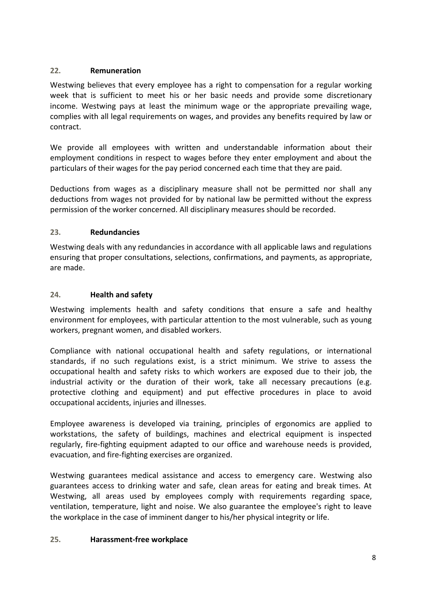#### <span id="page-9-0"></span>**22. Remuneration**

Westwing believes that every employee has a right to compensation for a regular working week that is sufficient to meet his or her basic needs and provide some discretionary income. Westwing pays at least the minimum wage or the appropriate prevailing wage, complies with all legal requirements on wages, and provides any benefits required by law or contract.

We provide all employees with written and understandable information about their employment conditions in respect to wages before they enter employment and about the particulars of their wages for the pay period concerned each time that they are paid.

Deductions from wages as a disciplinary measure shall not be permitted nor shall any deductions from wages not provided for by national law be permitted without the express permission of the worker concerned. All disciplinary measures should be recorded.

#### <span id="page-9-1"></span>**23. Redundancies**

Westwing deals with any redundancies in accordance with all applicable laws and regulations ensuring that proper consultations, selections, confirmations, and payments, as appropriate, are made.

#### <span id="page-9-2"></span>**24. Health and safety**

Westwing implements health and safety conditions that ensure a safe and healthy environment for employees, with particular attention to the most vulnerable, such as young workers, pregnant women, and disabled workers.

Compliance with national occupational health and safety regulations, or international standards, if no such regulations exist, is a strict minimum. We strive to assess the occupational health and safety risks to which workers are exposed due to their job, the industrial activity or the duration of their work, take all necessary precautions (e.g. protective clothing and equipment) and put effective procedures in place to avoid occupational accidents, injuries and illnesses.

Employee awareness is developed via training, principles of ergonomics are applied to workstations, the safety of buildings, machines and electrical equipment is inspected regularly, fire-fighting equipment adapted to our office and warehouse needs is provided, evacuation, and fire-fighting exercises are organized.

Westwing guarantees medical assistance and access to emergency care. Westwing also guarantees access to drinking water and safe, clean areas for eating and break times. At Westwing, all areas used by employees comply with requirements regarding space, ventilation, temperature, light and noise. We also guarantee the employee's right to leave the workplace in the case of imminent danger to his/her physical integrity or life.

#### <span id="page-9-3"></span>**25. Harassment-free workplace**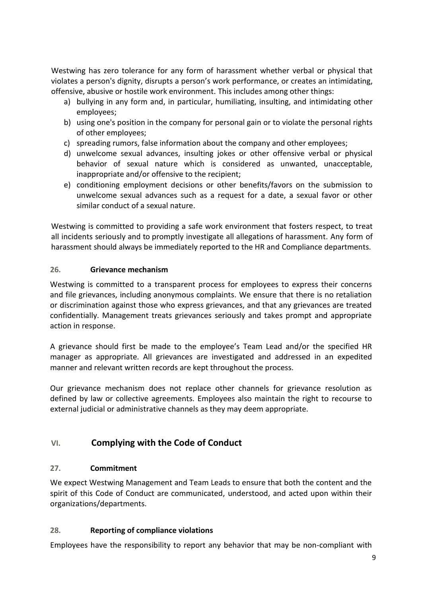Westwing has zero tolerance for any form of harassment whether verbal or physical that violates a person's dignity, disrupts a person's work performance, or creates an intimidating, offensive, abusive or hostile work environment. This includes among other things:

- a) bullying in any form and, in particular, humiliating, insulting, and intimidating other employees;
- b) using one's position in the company for personal gain or to violate the personal rights of other employees;
- c) spreading rumors, false information about the company and other employees;
- d) unwelcome sexual advances, insulting jokes or other offensive verbal or physical behavior of sexual nature which is considered as unwanted, unacceptable, inappropriate and/or offensive to the recipient;
- e) conditioning employment decisions or other benefits/favors on the submission to unwelcome sexual advances such as a request for a date, a sexual favor or other similar conduct of a sexual nature.

Westwing is committed to providing a safe work environment that fosters respect, to treat all incidents seriously and to promptly investigate all allegations of harassment. Any form of harassment should always be immediately reported to the HR and Compliance departments.

#### <span id="page-10-0"></span>**26. Grievance mechanism**

Westwing is committed to a transparent process for employees to express their concerns and file grievances, including anonymous complaints. We ensure that there is no retaliation or discrimination against those who express grievances, and that any grievances are treated confidentially. Management treats grievances seriously and takes prompt and appropriate action in response.

A grievance should first be made to the employee's Team Lead and/or the specified HR manager as appropriate. All grievances are investigated and addressed in an expedited manner and relevant written records are kept throughout the process.

Our grievance mechanism does not replace other channels for grievance resolution as defined by law or collective agreements. Employees also maintain the right to recourse to external judicial or administrative channels as they may deem appropriate.

# <span id="page-10-1"></span>**VI. Complying with the Code of Conduct**

#### <span id="page-10-2"></span>**27. Commitment**

We expect Westwing Management and Team Leads to ensure that both the content and the spirit of this Code of Conduct are communicated, understood, and acted upon within their organizations/departments.

#### <span id="page-10-3"></span>**28. Reporting of compliance violations**

Employees have the responsibility to report any behavior that may be non-compliant with